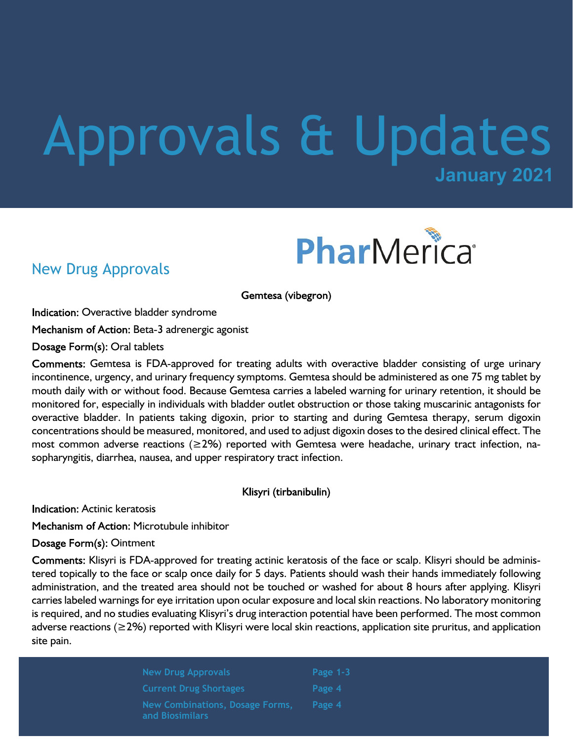# **January 2021** Approvals & Updates



### New Drug Approvals

Gemtesa (vibegron)

Indication: Overactive bladder syndrome

Mechanism of Action: Beta-3 adrenergic agonist

Dosage Form(s): Oral tablets

Comments: Gemtesa is FDA-approved for treating adults with overactive bladder consisting of urge urinary incontinence, urgency, and urinary frequency symptoms. Gemtesa should be administered as one 75 mg tablet by mouth daily with or without food. Because Gemtesa carries a labeled warning for urinary retention, it should be monitored for, especially in individuals with bladder outlet obstruction or those taking muscarinic antagonists for overactive bladder. In patients taking digoxin, prior to starting and during Gemtesa therapy, serum digoxin concentrations should be measured, monitored, and used to adjust digoxin doses to the desired clinical effect. The most common adverse reactions ( $\geq$ 2%) reported with Gemtesa were headache, urinary tract infection, nasopharyngitis, diarrhea, nausea, and upper respiratory tract infection.

Klisyri (tirbanibulin)

**Indication: Actinic keratosis** 

Mechanism of Action: Microtubule inhibitor

Dosage Form(s): Ointment

Comments: Klisyri is FDA-approved for treating actinic keratosis of the face or scalp. Klisyri should be administered topically to the face or scalp once daily for 5 days. Patients should wash their hands immediately following administration, and the treated area should not be touched or washed for about 8 hours after applying. Klisyri carries labeled warnings for eye irritation upon ocular exposure and local skin reactions. No laboratory monitoring is required, and no studies evaluating Klisyri's drug interaction potential have been performed. The most common adverse reactions (≥2%) reported with Klisyri were local skin reactions, application site pruritus, and application site pain.

> **New Drug Approvals Current Drug Shortages New Combinations, Dosage Forms, and Biosimilars**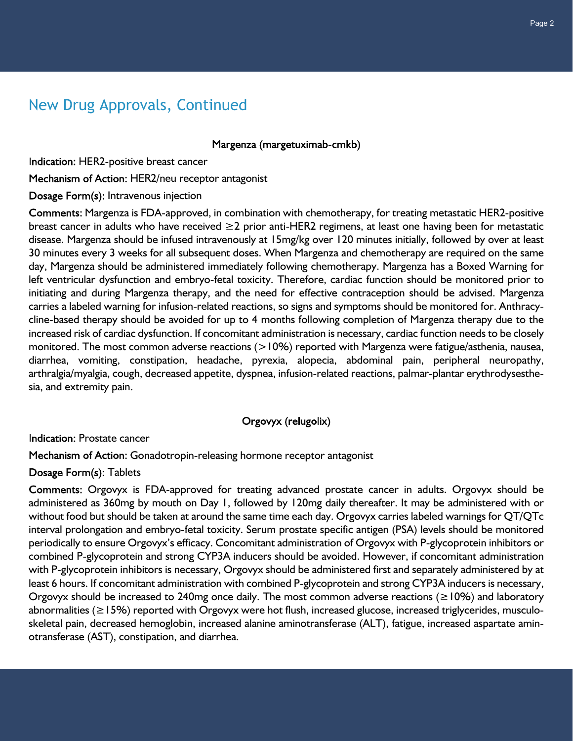## New Drug Approvals, Continued

Margenza (margetuximab-cmkb)

Indication: HER2-positive breast cancer

Mechanism of Action: HER2/neu receptor antagonist

Dosage Form(s): Intravenous injection

Comments: Margenza is FDA-approved, in combination with chemotherapy, for treating metastatic HER2-positive breast cancer in adults who have received ≥2 prior anti-HER2 regimens, at least one having been for metastatic disease. Margenza should be infused intravenously at 15mg/kg over 120 minutes initially, followed by over at least 30 minutes every 3 weeks for all subsequent doses. When Margenza and chemotherapy are required on the same day, Margenza should be administered immediately following chemotherapy. Margenza has a Boxed Warning for left ventricular dysfunction and embryo-fetal toxicity. Therefore, cardiac function should be monitored prior to initiating and during Margenza therapy, and the need for effective contraception should be advised. Margenza carries a labeled warning for infusion-related reactions, so signs and symptoms should be monitored for. Anthracycline-based therapy should be avoided for up to 4 months following completion of Margenza therapy due to the increased risk of cardiac dysfunction. If concomitant administration is necessary, cardiac function needs to be closely monitored. The most common adverse reactions (>10%) reported with Margenza were fatigue/asthenia, nausea, diarrhea, vomiting, constipation, headache, pyrexia, alopecia, abdominal pain, peripheral neuropathy, arthralgia/myalgia, cough, decreased appetite, dyspnea, infusion-related reactions, palmar-plantar erythrodysesthesia, and extremity pain.

#### Orgovyx (relugolix)

Indication: Prostate cancer

Mechanism of Action: Gonadotropin-releasing hormone receptor antagonist

Dosage Form(s): Tablets

Comments: Orgovyx is FDA-approved for treating advanced prostate cancer in adults. Orgovyx should be administered as 360mg by mouth on Day 1, followed by 120mg daily thereafter. It may be administered with or without food but should be taken at around the same time each day. Orgovyx carries labeled warnings for QT/QTc interval prolongation and embryo-fetal toxicity. Serum prostate specific antigen (PSA) levels should be monitored periodically to ensure Orgovyx's efficacy. Concomitant administration of Orgovyx with P-glycoprotein inhibitors or combined P-glycoprotein and strong CYP3A inducers should be avoided. However, if concomitant administration with P-glycoprotein inhibitors is necessary, Orgovyx should be administered first and separately administered by at least 6 hours. If concomitant administration with combined P-glycoprotein and strong CYP3A inducers is necessary, Orgovyx should be increased to 240mg once daily. The most common adverse reactions ( $\geq$ 10%) and laboratory abnormalities (≥15%) reported with Orgovyx were hot flush, increased glucose, increased triglycerides, musculoskeletal pain, decreased hemoglobin, increased alanine aminotransferase (ALT), fatigue, increased aspartate aminotransferase (AST), constipation, and diarrhea.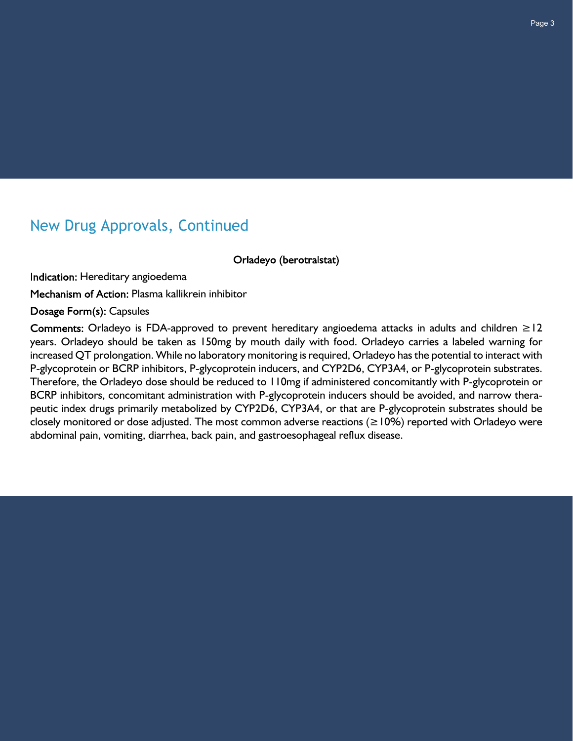## New Drug Approvals, Continued

Orladeyo (berotralstat)

Indication: Hereditary angioedema

Mechanism of Action: Plasma kallikrein inhibitor

Dosage Form(s): Capsules

Comments: Orladeyo is FDA-approved to prevent hereditary angioedema attacks in adults and children  $\geq$  12 years. Orladeyo should be taken as 150mg by mouth daily with food. Orladeyo carries a labeled warning for increased QT prolongation. While no laboratory monitoring is required, Orladeyo has the potential to interact with P-glycoprotein or BCRP inhibitors, P-glycoprotein inducers, and CYP2D6, CYP3A4, or P-glycoprotein substrates. Therefore, the Orladeyo dose should be reduced to 110mg if administered concomitantly with P-glycoprotein or BCRP inhibitors, concomitant administration with P-glycoprotein inducers should be avoided, and narrow therapeutic index drugs primarily metabolized by CYP2D6, CYP3A4, or that are P-glycoprotein substrates should be closely monitored or dose adjusted. The most common adverse reactions ( $\geq$ 10%) reported with Orladeyo were abdominal pain, vomiting, diarrhea, back pain, and gastroesophageal reflux disease.